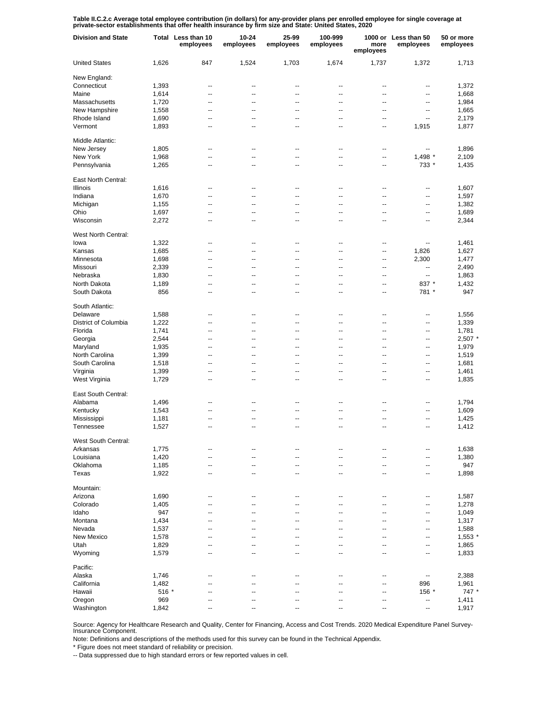Table II.C.2.c Average total employee contribution (in dollars) for any-provider plans per enrolled employee for single coverage at<br>private-sector establishments that offer health insurance by firm size and State: United S

| <b>Division and State</b> |       | Total Less than 10<br>employees | 10-24<br>employees | 25-99<br>employees       | 100-999<br>employees | more<br>employees | 1000 or Less than 50<br>employees | 50 or more<br>employees |
|---------------------------|-------|---------------------------------|--------------------|--------------------------|----------------------|-------------------|-----------------------------------|-------------------------|
| <b>United States</b>      | 1,626 | 847                             | 1,524              | 1,703                    | 1,674                | 1,737             | 1,372                             | 1,713                   |
| New England:              |       |                                 |                    |                          |                      |                   |                                   |                         |
| Connecticut               | 1,393 | --                              | --                 | --                       | --                   | --                | --                                | 1,372                   |
| Maine                     | 1,614 | --                              | --                 | $\overline{a}$           | $\overline{a}$       | $\overline{a}$    | --                                | 1,668                   |
| Massachusetts             | 1,720 | --                              | --                 | --                       | --                   | --                | --                                | 1,984                   |
| New Hampshire             | 1,558 | --                              | --                 | --                       | --                   | --                | --                                | 1,665                   |
| Rhode Island              | 1,690 | --                              | --                 | --                       | --                   | --                | $\overline{\phantom{a}}$          | 2,179                   |
| Vermont                   | 1,893 | --                              | --                 | --                       | --                   | --                | 1,915                             | 1,877                   |
| Middle Atlantic:          |       |                                 |                    |                          |                      |                   |                                   |                         |
| New Jersey                | 1,805 | $\overline{a}$                  | --                 | $\overline{a}$           | $\overline{a}$       | ц.                | --                                | 1,896                   |
| New York                  | 1,968 | $\overline{a}$                  | Ξ.                 | Ξ.                       | Ξ.                   | ä.                | 1,498 *                           | 2,109                   |
| Pennsylvania              | 1,265 | --                              | --                 | $\overline{a}$           | --                   | --                | 733 *                             | 1,435                   |
| East North Central:       |       |                                 |                    |                          |                      |                   |                                   |                         |
| Illinois                  | 1,616 | --                              | --                 | ٠.                       | --                   | ٠.                | --                                | 1,607                   |
| Indiana                   | 1,670 | --                              | --                 | ٠.                       | --                   | ٠.                | --                                | 1,597                   |
| Michigan                  | 1,155 | --                              | --                 | --                       | --                   | ٠.                | ٠.                                | 1,382                   |
| Ohio                      | 1,697 | --                              | --                 | ٠.                       | --                   | ц.                | --                                | 1,689                   |
| Wisconsin                 | 2,272 | --                              | --                 | ٠.                       | --                   | ٠.                | ٠.                                | 2,344                   |
| West North Central:       |       |                                 |                    |                          |                      |                   |                                   |                         |
| lowa                      | 1,322 | --                              | --                 | --                       | --                   | --                | --                                | 1,461                   |
| Kansas                    | 1,685 | --                              | --                 | --                       | --                   | --                | 1,826                             | 1,627                   |
| Minnesota                 | 1,698 | --                              | --                 | --                       | --                   | --                | 2,300                             | 1,477                   |
| Missouri                  | 2,339 | --                              | $\overline{a}$     | --                       | --                   | --                | $\overline{\phantom{a}}$          | 2,490                   |
| Nebraska                  | 1,830 | --                              | --                 | --                       | --                   | --                | --                                | 1,863                   |
| North Dakota              | 1,189 | --                              | --                 | --                       | --                   | --                | 837 *                             | 1,432                   |
| South Dakota              | 856   | --                              | --                 | --                       | --                   | --                | 781 *                             | 947                     |
| South Atlantic:           |       |                                 |                    |                          |                      |                   |                                   |                         |
| Delaware                  | 1,588 | --                              | --                 | ٠.                       | --                   | ц.                | --                                | 1,556                   |
| District of Columbia      | 1,222 | Ξ.                              | Ξ.                 | Ξ.                       | Ξ.                   | ä.                | --                                | 1,339                   |
| Florida                   | 1,741 | $\overline{a}$                  | --                 | $\overline{a}$           | $\overline{a}$       | $\overline{a}$    | --                                | 1,781                   |
| Georgia                   | 2,544 | $\overline{a}$                  | --                 | $\overline{a}$           | $\overline{a}$       | $\overline{a}$    | --                                | $2,507$ $*$             |
| Maryland                  | 1,935 | $\overline{a}$                  | --                 | $\overline{a}$           | $\overline{a}$       | $\overline{a}$    | --                                | 1,979                   |
| North Carolina            | 1,399 | $\overline{a}$                  | --                 | $\overline{a}$           | $\overline{a}$       | $\overline{a}$    | --                                | 1,519                   |
| South Carolina            | 1,518 | $\overline{a}$                  | --                 | $\overline{a}$           | $\overline{a}$       | $\overline{a}$    | --                                | 1,681                   |
| Virginia                  | 1,399 | --                              | --                 | ٠.                       | --                   | $\overline{a}$    | --                                | 1,461                   |
| West Virginia             | 1,729 | --                              | --                 | $\overline{a}$           | --                   | ц.                | ٠.                                | 1,835                   |
| East South Central:       |       |                                 |                    |                          |                      |                   |                                   |                         |
| Alabama                   | 1,496 | --                              | --                 | ٠.                       | --                   | ц.                | --                                | 1,794                   |
| Kentucky                  | 1,543 | --                              | --                 | --                       | --                   | ٠.                | --                                | 1,609                   |
| Mississippi               | 1,181 | --                              | --                 | ٠.                       | --                   | ٠.                | --                                | 1,425                   |
| Tennessee                 | 1,527 | --                              | --                 | ٠.                       | --                   | ٠.                | --                                | 1,412                   |
| West South Central:       |       |                                 |                    |                          |                      |                   |                                   |                         |
| Arkansas                  | 1,775 | --                              | --                 | --                       | --                   | --                | --                                | 1,638                   |
| Louisiana                 | 1,420 | --                              | --                 | --                       | --                   | --                | ۰.                                | 1,380                   |
| Oklahoma                  | 1,185 | --                              | --                 | --                       | --                   | --                | --                                | 947                     |
| Texas                     | 1,922 | $\overline{\phantom{a}}$        | --                 | $\overline{\phantom{a}}$ | --                   | --                | --                                | 1,898                   |
| Mountain:                 |       |                                 |                    |                          |                      |                   |                                   |                         |
| Arizona                   | 1,690 | --                              | --                 | ٠.                       | --                   | ц.                | --                                | 1,587                   |
| Colorado                  | 1,405 | $\overline{a}$                  | --                 | $\overline{a}$           | $\overline{a}$       | $\overline{a}$    | --                                | 1,278                   |
| Idaho                     | 947   | $\overline{a}$                  | --                 | $\overline{a}$           | $\overline{a}$       | $\overline{a}$    | --                                | 1,049                   |
| Montana                   | 1,434 | $\overline{a}$                  | --                 | $\overline{a}$           | $\overline{a}$       | $\overline{a}$    | --                                | 1,317                   |
| Nevada                    | 1,537 | $\overline{a}$                  | --                 | $\overline{a}$           | --                   | $\overline{a}$    | --                                | 1,588                   |
| New Mexico                | 1,578 | --                              | --                 | --                       | --                   | $\overline{a}$    | --                                | $1,553$ *               |
| Utah                      | 1,829 | $\overline{a}$                  | --                 | $\overline{a}$           | $\overline{a}$       | $\overline{a}$    | --                                | 1,865                   |
| Wyoming                   | 1,579 | $\overline{a}$                  | --                 | $\overline{a}$           | $\overline{a}$       | $\overline{a}$    | --                                | 1,833                   |
| Pacific:                  |       |                                 |                    |                          |                      |                   |                                   |                         |
| Alaska                    | 1,746 | --                              | --                 | ٠.                       | --                   | ц.                | $\overline{\phantom{a}}$          | 2,388                   |
| California                | 1,482 | $\overline{a}$                  | --                 | ц.                       | Ξ.                   | --                | 896                               | 1,961                   |
| Hawaii                    | 516 * | --                              | --                 | ٠.                       | --                   | --                | 156 *                             | $747*$                  |
| Oregon                    | 969   |                                 |                    |                          |                      |                   | --                                | 1,411                   |
| Washington                | 1,842 | --                              |                    |                          |                      | ٠.                | --                                | 1,917                   |

Source: Agency for Healthcare Research and Quality, Center for Financing, Access and Cost Trends. 2020 Medical Expenditure Panel Survey-Insurance Component.

Note: Definitions and descriptions of the methods used for this survey can be found in the Technical Appendix.

\* Figure does not meet standard of reliability or precision.

-- Data suppressed due to high standard errors or few reported values in cell.